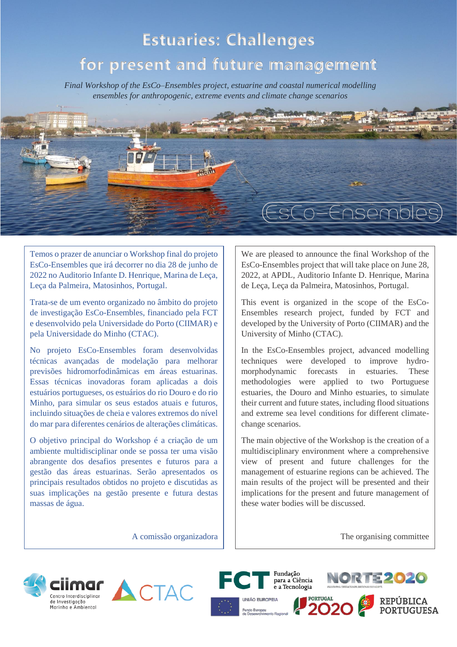# **Estuaries: Challenges**

## **for present and future management**

*Final Workshop of the EsCo–Ensembles project, estuarine and coastal numerical modelling ensembles for anthropogenic, extreme events and climate change scenarios*

Temos o prazer de anunciar o Workshop final do projeto EsCo-Ensembles que irá decorrer no dia 28 de junho de 2022 no Auditorio Infante D. Henrique, Marina de Leça, Leça da Palmeira, Matosinhos, Portugal.

Trata-se de um evento organizado no âmbito do projeto de investigação EsCo-Ensembles, financiado pela FCT e desenvolvido pela Universidade do Porto (CIIMAR) e pela Universidade do Minho (CTAC).

No projeto EsCo-Ensembles foram desenvolvidas técnicas avançadas de modelação para melhorar previsões hidromorfodinâmicas em áreas estuarinas. Essas técnicas inovadoras foram aplicadas a dois estuários portugueses, os estuários do rio Douro e do rio Minho, para simular os seus estados atuais e futuros, incluindo situações de cheia e valores extremos do nível do mar para diferentes cenários de alterações climáticas.

O objetivo principal do Workshop é a criação de um ambiente multidisciplinar onde se possa ter uma visão abrangente dos desafios presentes e futuros para a gestão das áreas estuarinas. Serão apresentados os principais resultados obtidos no projeto e discutidas as suas implicações na gestão presente e futura destas massas de água.

We are pleased to announce the final Workshop of the EsCo-Ensembles project that will take place on June 28, 2022, at APDL, Auditorio Infante D. Henrique, Marina de Leça, Leça da Palmeira, Matosinhos, Portugal.

(EsCo–Ensembles

This event is organized in the scope of the EsCo-Ensembles research project, funded by FCT and developed by the University of Porto (CIIMAR) and the University of Minho (CTAC).

In the EsCo-Ensembles project, advanced modelling techniques were developed to improve hydromorphodynamic forecasts in estuaries. These methodologies were applied to two Portuguese estuaries, the Douro and Minho estuaries, to simulate their current and future states, including flood situations and extreme sea level conditions for different climatechange scenarios.

The main objective of the Workshop is the creation of a multidisciplinary environment where a comprehensive view of present and future challenges for the management of estuarine regions can be achieved. The main results of the project will be presented and their implications for the present and future management of these water bodies will be discussed.

A comissão organizadora

The organising committee







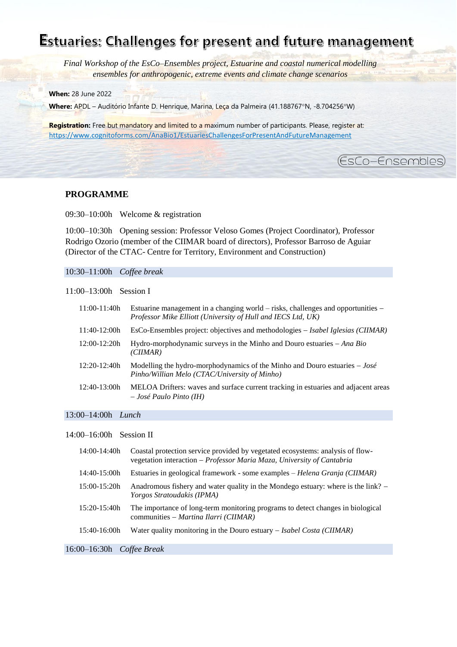### Estuaries: Challenges for present and future management

(EsCo-Ensembles)

*Final Workshop of the EsCo–Ensembles project, Estuarine and coastal numerical modelling ensembles for anthropogenic, extreme events and climate change scenarios*

**When:** 28 June 2022

Where: APDL - Auditório Infante D. Henrique, Marina, Leça da Palmeira (41.188767°N, -8.704256°W)

**Registration:** Free but mandatory and limited to a maximum number of participants. Please, register at: [https://www.cognitoforms.com/AnaBio1/EstuariesChallengesForPresentAndFutureManagement](https://www.cognitoforms.com/AnaBio1/EstuariesChallengesForPresentAndFutureManagement?fbclid=IwAR0RvkrCzg3vCmpiYitvbZmWu7wLtsYrPxpjBBtLOEBHu6gdTZVyYP8Mvng)

#### **PROGRAMME**

09:30–10:00h Welcome & registration

10:00–10:30h Opening session: Professor Veloso Gomes (Project Coordinator), Professor Rodrigo Ozorio (member of the CIIMAR board of directors), Professor Barroso de Aguiar (Director of the CTAC- Centre for Territory, Environment and Construction)

#### 10:30–11:00h *Coffee break*

11:00–13:00h Session I

| 11:00-11:40h   | Estuarine management in a changing world $-$ risks, challenges and opportunities $-$<br>Professor Mike Elliott (University of Hull and IECS Ltd, UK) |
|----------------|------------------------------------------------------------------------------------------------------------------------------------------------------|
| 11:40-12:00h   | $\text{EsCo-Ensembles project: objectives and methodologies} - \text{Isabel Iglesias (CIIMAR)}$                                                      |
| $12:00-12:20h$ | Hydro-morphodynamic surveys in the Minho and Douro estuaries $-Ana Bio$<br>(CIIMAR)                                                                  |
| $12:20-12:40h$ | Modelling the hydro-morphodynamics of the Minho and Douro estuaries $-Jos\acute{e}$<br>Pinho/Willian Melo (CTAC/University of Minho)                 |
| $12:40-13:00h$ | MELOA Drifters: waves and surface current tracking in estuaries and adjacent areas<br>$-José Paulo Pinto (IH)$                                       |

#### 13:00–14:00h *Lunch*

#### 14:00–16:00h Session II

| 14:00-14:40h                | Coastal protection service provided by vegetated ecosystems: analysis of flow-<br>vegetation interaction - Professor Maria Maza, University of Cantabria |
|-----------------------------|----------------------------------------------------------------------------------------------------------------------------------------------------------|
| $14:40-15:00h$              | Estuaries in geological framework - some examples – Helena Granja (CIIMAR)                                                                               |
| $15:00-15:20h$              | Anadromous fishery and water quality in the Mondego estuary: where is the link? –<br><i>Yorgos Stratoudakis (IPMA)</i>                                   |
| $15:20-15:40h$              | The importance of long-term monitoring programs to detect changes in biological<br>communities – Martina Ilarri (CIIMAR)                                 |
| 15:40-16:00h                | Water quality monitoring in the Douro estuary $-$ Isabel Costa (CIIMAR)                                                                                  |
| $16:00-16:30h$ Coffee Break |                                                                                                                                                          |